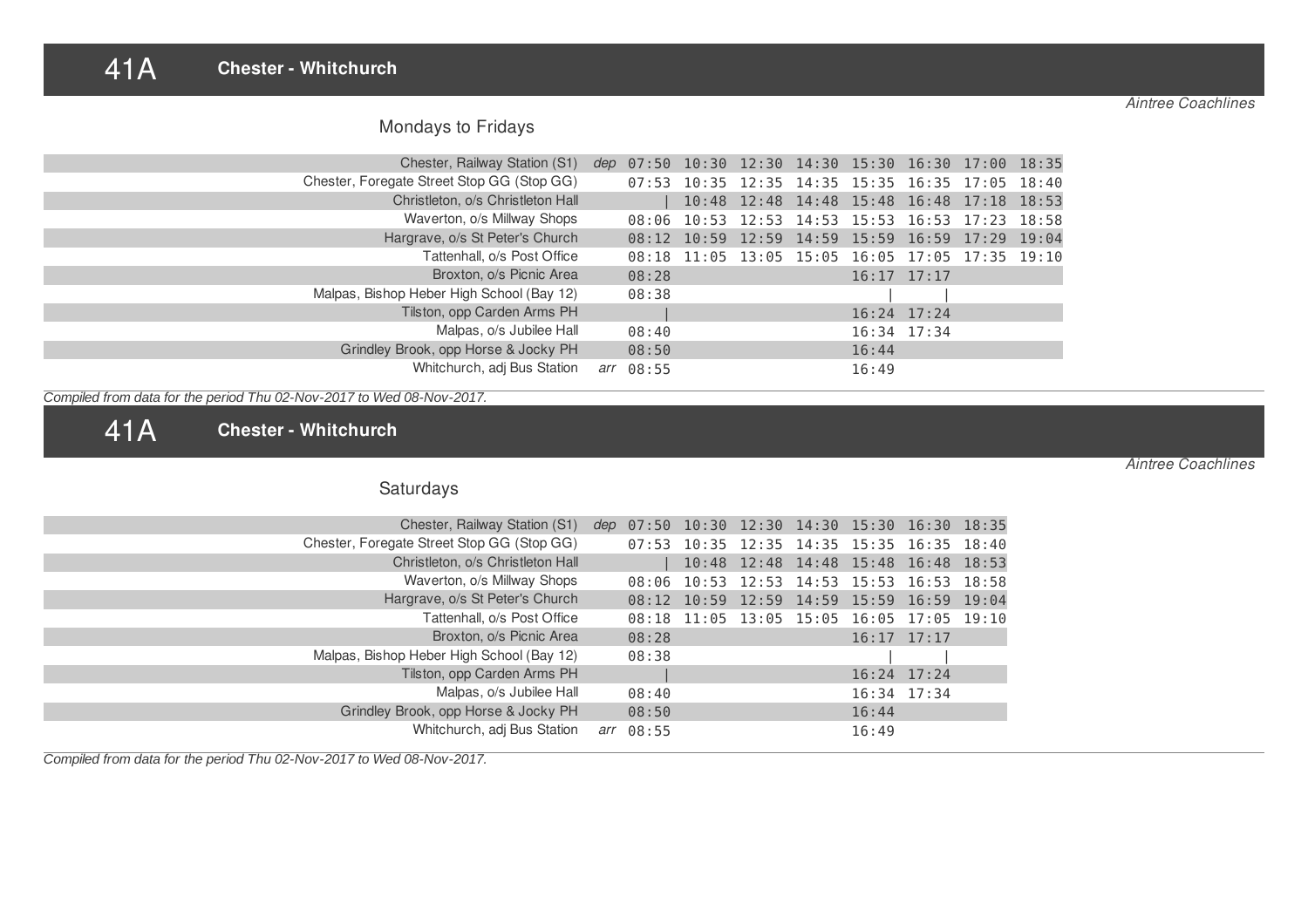#### 41A **Chester - Whitchurch**

*Aintree Coachlines*

*Aintree Coachlines*

| <b>Mondays to Fridays</b> |  |  |  |
|---------------------------|--|--|--|
|---------------------------|--|--|--|

| Chester, Railway Station (S1)              |     | dep 07:50 10:30 12:30 14:30 15:30 16:30 17:00 18:35 |  |                 |               |                                                 |  |
|--------------------------------------------|-----|-----------------------------------------------------|--|-----------------|---------------|-------------------------------------------------|--|
| Chester, Foregate Street Stop GG (Stop GG) |     |                                                     |  |                 |               | 07:53 10:35 12:35 14:35 15:35 16:35 17:05 18:40 |  |
| Christleton, o/s Christleton Hall          |     |                                                     |  |                 |               | 10:48 12:48 14:48 15:48 16:48 17:18 18:53       |  |
| Waverton, o/s Millway Shops                |     |                                                     |  |                 |               | 08:06 10:53 12:53 14:53 15:53 16:53 17:23 18:58 |  |
| Hargrave, o/s St Peter's Church            |     |                                                     |  |                 |               | 08:12 10:59 12:59 14:59 15:59 16:59 17:29 19:04 |  |
| Tattenhall, o/s Post Office                |     |                                                     |  |                 |               | 08:18 11:05 13:05 15:05 16:05 17:05 17:35 19:10 |  |
| Broxton, o/s Picnic Area                   |     | 08:28                                               |  | $16:17$ $17:17$ |               |                                                 |  |
| Malpas, Bishop Heber High School (Bay 12)  |     | 08:38                                               |  |                 |               |                                                 |  |
| Tilston, opp Carden Arms PH                |     |                                                     |  |                 | $16:24$ 17:24 |                                                 |  |
| Malpas, o/s Jubilee Hall                   |     | 08:40                                               |  |                 | 16:34 17:34   |                                                 |  |
| Grindley Brook, opp Horse & Jocky PH       |     | 08:50                                               |  | 16:44           |               |                                                 |  |
| Whitchurch, adj Bus Station                | arr | 08:55                                               |  | 16:49           |               |                                                 |  |

*Compiled from data for the period Thu 02-Nov-2017 to Wed 08-Nov-2017.*

41A **Chester - Whitchurch**

# Saturdays

| Chester, Railway Station (S1)              | dep $07:50$ 10:30 12:30 14:30 15:30 16:30 18:35 |                                           |                                     |                 |                 |  |
|--------------------------------------------|-------------------------------------------------|-------------------------------------------|-------------------------------------|-----------------|-----------------|--|
| Chester, Foregate Street Stop GG (Stop GG) |                                                 | 07:53 10:35 12:35 14:35 15:35 16:35 18:40 |                                     |                 |                 |  |
| Christleton, o/s Christleton Hall          |                                                 |                                           | 10:48 12:48 14:48 15:48 16:48 18:53 |                 |                 |  |
| Waverton, o/s Millway Shops                |                                                 | 08:06 10:53 12:53 14:53 15:53 16:53 18:58 |                                     |                 |                 |  |
| Hargrave, o/s St Peter's Church            |                                                 | 08:12 10:59 12:59 14:59 15:59 16:59 19:04 |                                     |                 |                 |  |
| Tattenhall, o/s Post Office                |                                                 | 08:18 11:05 13:05 15:05 16:05 17:05 19:10 |                                     |                 |                 |  |
| Broxton, o/s Picnic Area                   | 08:28                                           |                                           |                                     |                 | $16:17$ $17:17$ |  |
| Malpas, Bishop Heber High School (Bay 12)  | 08:38                                           |                                           |                                     |                 |                 |  |
| Tilston, opp Carden Arms PH                |                                                 |                                           |                                     | $16:24$ $17:24$ |                 |  |
| Malpas, o/s Jubilee Hall                   | 08:40                                           |                                           |                                     | $16:34$ $17:34$ |                 |  |
| Grindley Brook, opp Horse & Jocky PH       | 08:50                                           |                                           |                                     | 16:44           |                 |  |
| Whitchurch, adj Bus Station                | arr 08:55                                       |                                           |                                     | 16:49           |                 |  |

*Compiled from data for the period Thu 02-Nov-2017 to Wed 08-Nov-2017.*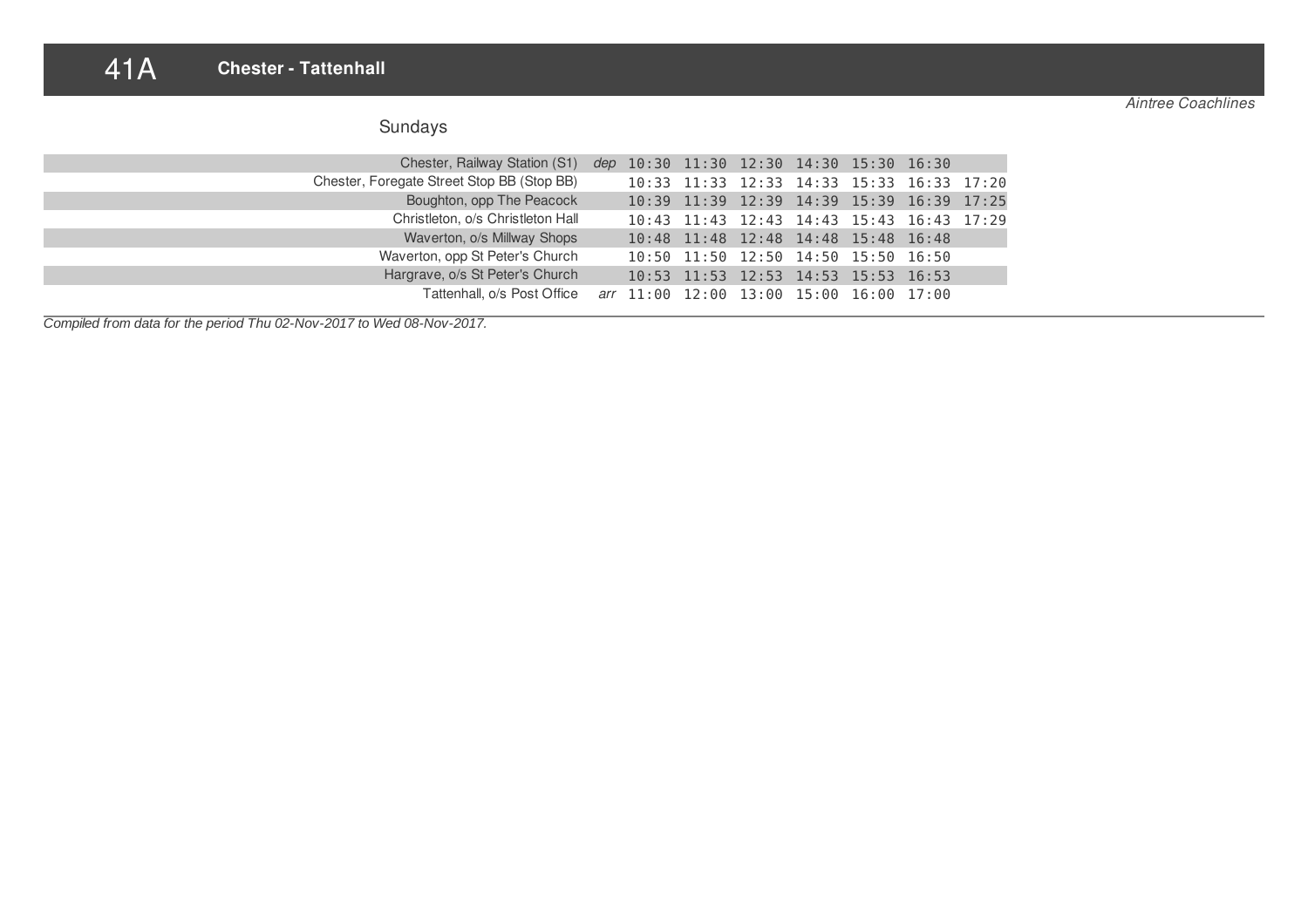## 41A **Chester - Tattenhall**

*Aintree Coachlines*

| Sundays |  |
|---------|--|
|---------|--|

| Chester, Railway Station (S1) dep 10:30 11:30 12:30 14:30 15:30 16:30 |  |  |                                           |  |  |
|-----------------------------------------------------------------------|--|--|-------------------------------------------|--|--|
| Chester, Foregate Street Stop BB (Stop BB)                            |  |  | 10:33 11:33 12:33 14:33 15:33 16:33 17:20 |  |  |
| Boughton, opp The Peacock                                             |  |  | 10:39 11:39 12:39 14:39 15:39 16:39 17:25 |  |  |
| Christleton, o/s Christleton Hall                                     |  |  | 10:43 11:43 12:43 14:43 15:43 16:43 17:29 |  |  |
| Waverton, o/s Millway Shops                                           |  |  | 10:48 11:48 12:48 14:48 15:48 16:48       |  |  |
| Waverton, opp St Peter's Church                                       |  |  | 10:50 11:50 12:50 14:50 15:50 16:50       |  |  |
| Hargrave, o/s St Peter's Church                                       |  |  | 10:53 11:53 12:53 14:53 15:53 16:53       |  |  |
| Tattenhall, o/s Post Office arr 11:00 12:00 13:00 15:00 16:00 17:00   |  |  |                                           |  |  |

*Compiled from data for the period Thu 02-Nov-2017 to Wed 08-Nov-2017.*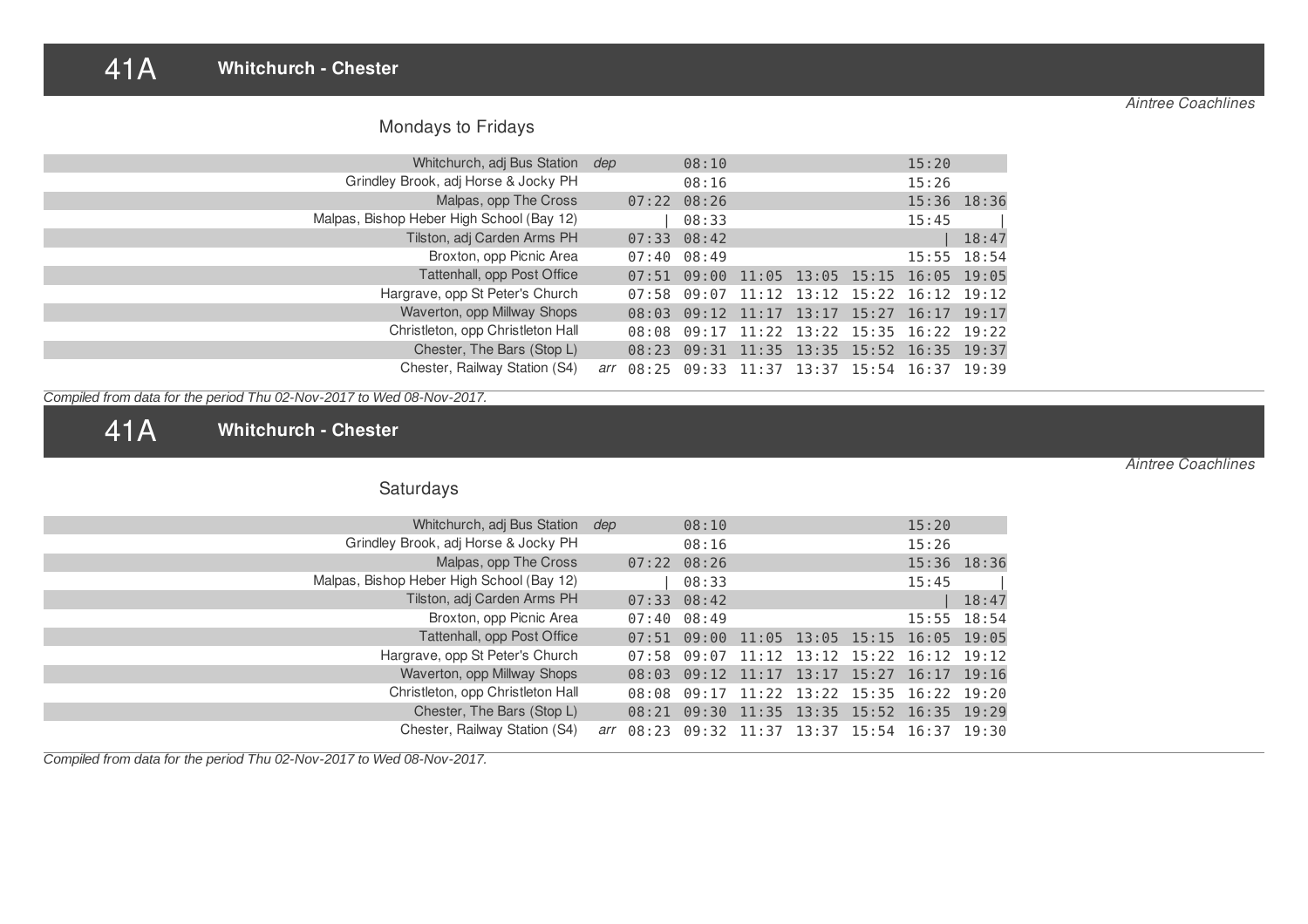#### 41A **Whitchurch - Chester**

# Mondays to Fridays

| Whitchurch, adj Bus Station dep           |  | 08:10           |  | 15:20                                                   |                 |
|-------------------------------------------|--|-----------------|--|---------------------------------------------------------|-----------------|
| Grindley Brook, adj Horse & Jocky PH      |  | 08:16           |  | 15:26                                                   |                 |
| Malpas, opp The Cross                     |  | $07:22$ $08:26$ |  |                                                         | 15:36 18:36     |
| Malpas, Bishop Heber High School (Bay 12) |  | 08:33           |  | 15:45                                                   |                 |
| Tilston, adj Carden Arms PH               |  | $07:33$ $08:42$ |  |                                                         | 18:47           |
| Broxton, opp Picnic Area                  |  | $07:40$ $08:49$ |  |                                                         | $15:55$ $18:54$ |
| Tattenhall, opp Post Office               |  | $07:51$ 09:00   |  | $11:05$ $13:05$ $15:15$ $16:05$ $19:05$                 |                 |
| Hargrave, opp St Peter's Church           |  |                 |  | $07:58$ $09:07$ $11:12$ $13:12$ $15:22$ $16:12$ $19:12$ |                 |
| Waverton, opp Millway Shops               |  |                 |  | 08:03 09:12 11:17 13:17 15:27 16:17 19:17               |                 |
| Christleton, opp Christleton Hall         |  |                 |  | 08:08 09:17 11:22 13:22 15:35 16:22 19:22               |                 |
| Chester, The Bars (Stop L)                |  |                 |  | 08:23 09:31 11:35 13:35 15:52 16:35 19:37               |                 |
| Chester, Railway Station (S4)             |  |                 |  | arr 08:25 09:33 11:37 13:37 15:54 16:37 19:39           |                 |

*Compiled from data for the period Thu 02-Nov-2017 to Wed 08-Nov-2017.*

41A **Whitchurch - Chester**

Saturdays

| Whitchurch, adj Bus Station dep           |  | 08:10           |  |                                                         | 15:20 |                 |
|-------------------------------------------|--|-----------------|--|---------------------------------------------------------|-------|-----------------|
| Grindley Brook, adj Horse & Jocky PH      |  | 08:16           |  |                                                         | 15:26 |                 |
| Malpas, opp The Cross                     |  | $07:22$ $08:26$ |  |                                                         |       | 15:36 18:36     |
| Malpas, Bishop Heber High School (Bay 12) |  | 08:33           |  |                                                         | 15:45 |                 |
| Tilston, adj Carden Arms PH               |  | $07:33$ $08:42$ |  |                                                         |       | 18:47           |
| Broxton, opp Picnic Area                  |  | $07:40$ $08:49$ |  |                                                         |       | $15:55$ $18:54$ |
| Tattenhall, opp Post Office               |  | $07:51$ $09:00$ |  | $11:05$ 13:05 15:15 16:05 19:05                         |       |                 |
| Hargrave, opp St Peter's Church           |  |                 |  | $07:58$ $09:07$ $11:12$ $13:12$ $15:22$ $16:12$ $19:12$ |       |                 |
| Waverton, opp Millway Shops               |  |                 |  | 08:03 09:12 11:17 13:17 15:27 16:17 19:16               |       |                 |
| Christleton, opp Christleton Hall         |  |                 |  | 08:08 09:17 11:22 13:22 15:35 16:22 19:20               |       |                 |
| Chester, The Bars (Stop L)                |  |                 |  | 08:21 09:30 11:35 13:35 15:52 16:35 19:29               |       |                 |
| Chester, Railway Station (S4)             |  |                 |  | arr 08:23 09:32 11:37 13:37 15:54 16:37 19:30           |       |                 |

*Compiled from data for the period Thu 02-Nov-2017 to Wed 08-Nov-2017.*

*Aintree Coachlines*